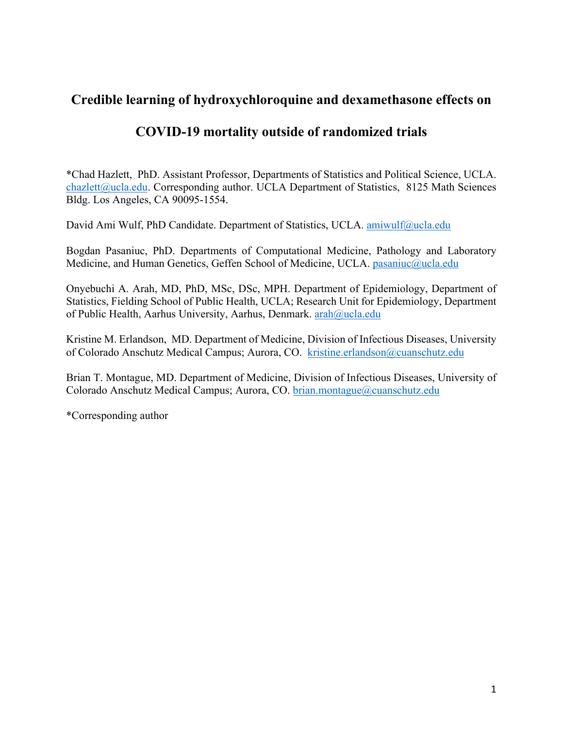# **Credible learning of hydroxychloroquine and dexamethasone effects on**

# **COVID-19 mortality outside of randomized trials**

\*Chad Hazlett, PhD. Assistant Professor, Departments of Statistics and Political Science, UCLA. chazlett@ucla.edu. Corresponding author. UCLA Department of Statistics, 8125 Math Sciences Bldg. Los Angeles, CA 90095-1554.

David Ami Wulf, PhD Candidate. Department of Statistics, UCLA. amiwulf@ucla.edu

Bogdan Pasaniuc, PhD. Departments of Computational Medicine, Pathology and Laboratory Medicine, and Human Genetics, Geffen School of Medicine, UCLA. pasaniuc@ucla.edu

Onyebuchi A. Arah, MD, PhD, MSc, DSc, MPH. Department of Epidemiology, Department of Statistics, Fielding School of Public Health, UCLA; Research Unit for Epidemiology, Department of Public Health, Aarhus University, Aarhus, Denmark. arah@ucla.edu

Kristine M. Erlandson, MD. Department of Medicine, Division of Infectious Diseases, University of Colorado Anschutz Medical Campus; Aurora, CO. kristine.erlandson@cuanschutz.edu

Brian T. Montague, MD. Department of Medicine, Division of Infectious Diseases, University of Colorado Anschutz Medical Campus; Aurora, CO. brian.montague@cuanschutz.edu

\*Corresponding author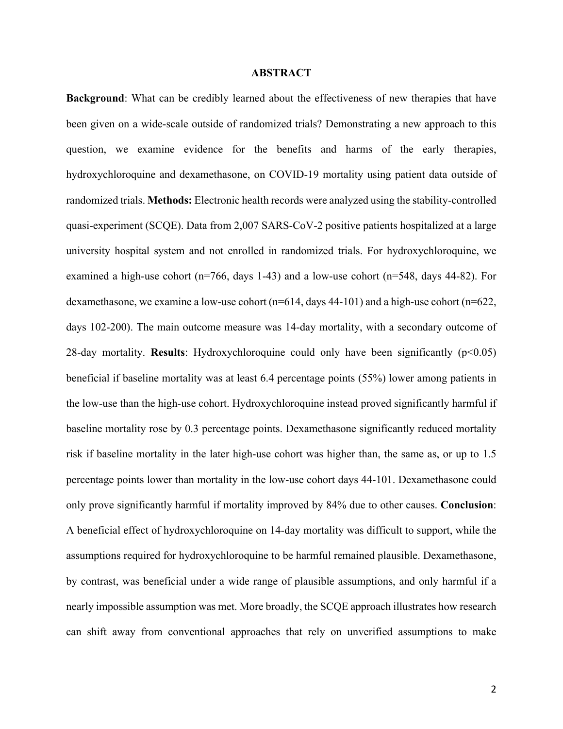#### **ABSTRACT**

**Background**: What can be credibly learned about the effectiveness of new therapies that have been given on a wide-scale outside of randomized trials? Demonstrating a new approach to this question, we examine evidence for the benefits and harms of the early therapies, hydroxychloroquine and dexamethasone, on COVID-19 mortality using patient data outside of randomized trials. **Methods:** Electronic health records were analyzed using the stability-controlled quasi-experiment (SCQE). Data from 2,007 SARS-CoV-2 positive patients hospitalized at a large university hospital system and not enrolled in randomized trials. For hydroxychloroquine, we examined a high-use cohort ( $n=766$ , days 1-43) and a low-use cohort ( $n=548$ , days 44-82). For dexamethasone, we examine a low-use cohort (n=614, days 44-101) and a high-use cohort (n=622, days 102-200). The main outcome measure was 14-day mortality, with a secondary outcome of 28-day mortality. **Results**: Hydroxychloroquine could only have been significantly (p<0.05) beneficial if baseline mortality was at least 6.4 percentage points (55%) lower among patients in the low-use than the high-use cohort. Hydroxychloroquine instead proved significantly harmful if baseline mortality rose by 0.3 percentage points. Dexamethasone significantly reduced mortality risk if baseline mortality in the later high-use cohort was higher than, the same as, or up to 1.5 percentage points lower than mortality in the low-use cohort days 44-101. Dexamethasone could only prove significantly harmful if mortality improved by 84% due to other causes. **Conclusion**: A beneficial effect of hydroxychloroquine on 14-day mortality was difficult to support, while the assumptions required for hydroxychloroquine to be harmful remained plausible. Dexamethasone, by contrast, was beneficial under a wide range of plausible assumptions, and only harmful if a nearly impossible assumption was met. More broadly, the SCQE approach illustrates how research can shift away from conventional approaches that rely on unverified assumptions to make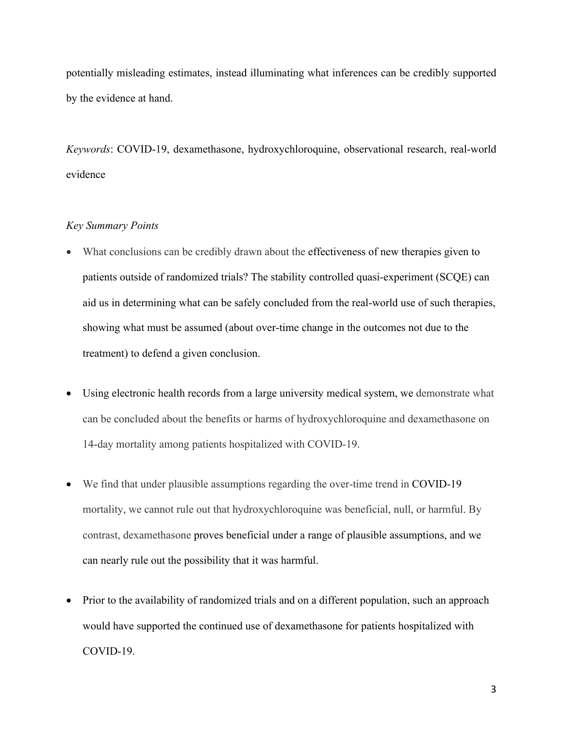potentially misleading estimates, instead illuminating what inferences can be credibly supported by the evidence at hand.

*Keywords*: COVID-19, dexamethasone, hydroxychloroquine, observational research, real-world evidence

## *Key Summary Points*

- What conclusions can be credibly drawn about the effectiveness of new therapies given to patients outside of randomized trials? The stability controlled quasi-experiment (SCQE) can aid us in determining what can be safely concluded from the real-world use of such therapies, showing what must be assumed (about over-time change in the outcomes not due to the treatment) to defend a given conclusion.
- Using electronic health records from a large university medical system, we demonstrate what can be concluded about the benefits or harms of hydroxychloroquine and dexamethasone on 14-day mortality among patients hospitalized with COVID-19.
- We find that under plausible assumptions regarding the over-time trend in COVID-19 mortality, we cannot rule out that hydroxychloroquine was beneficial, null, or harmful. By contrast, dexamethasone proves beneficial under a range of plausible assumptions, and we can nearly rule out the possibility that it was harmful.
- Prior to the availability of randomized trials and on a different population, such an approach would have supported the continued use of dexamethasone for patients hospitalized with COVID-19.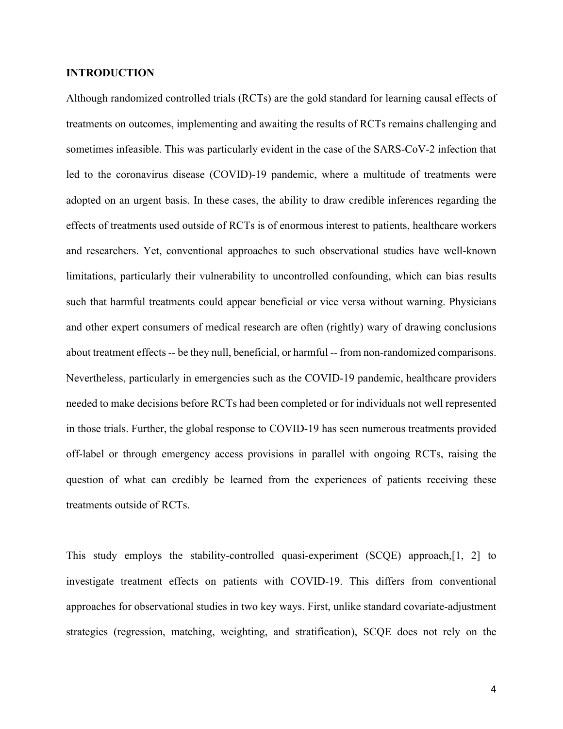### **INTRODUCTION**

Although randomized controlled trials (RCTs) are the gold standard for learning causal effects of treatments on outcomes, implementing and awaiting the results of RCTs remains challenging and sometimes infeasible. This was particularly evident in the case of the SARS-CoV-2 infection that led to the coronavirus disease (COVID)-19 pandemic, where a multitude of treatments were adopted on an urgent basis. In these cases, the ability to draw credible inferences regarding the effects of treatments used outside of RCTs is of enormous interest to patients, healthcare workers and researchers. Yet, conventional approaches to such observational studies have well-known limitations, particularly their vulnerability to uncontrolled confounding, which can bias results such that harmful treatments could appear beneficial or vice versa without warning. Physicians and other expert consumers of medical research are often (rightly) wary of drawing conclusions about treatment effects -- be they null, beneficial, or harmful -- from non-randomized comparisons. Nevertheless, particularly in emergencies such as the COVID-19 pandemic, healthcare providers needed to make decisions before RCTs had been completed or for individuals not well represented in those trials. Further, the global response to COVID-19 has seen numerous treatments provided off-label or through emergency access provisions in parallel with ongoing RCTs, raising the question of what can credibly be learned from the experiences of patients receiving these treatments outside of RCTs.

This study employs the stability-controlled quasi-experiment (SCQE) approach,[1, 2] to investigate treatment effects on patients with COVID-19. This differs from conventional approaches for observational studies in two key ways. First, unlike standard covariate-adjustment strategies (regression, matching, weighting, and stratification), SCQE does not rely on the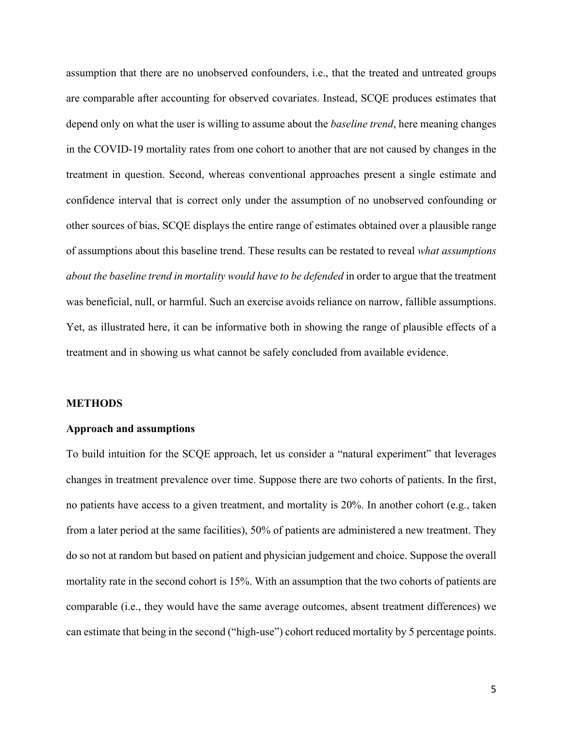assumption that there are no unobserved confounders, i.e., that the treated and untreated groups are comparable after accounting for observed covariates. Instead, SCQE produces estimates that depend only on what the user is willing to assume about the *baseline trend*, here meaning changes in the COVID-19 mortality rates from one cohort to another that are not caused by changes in the treatment in question. Second, whereas conventional approaches present a single estimate and confidence interval that is correct only under the assumption of no unobserved confounding or other sources of bias, SCQE displays the entire range of estimates obtained over a plausible range of assumptions about this baseline trend. These results can be restated to reveal *what assumptions about the baseline trend in mortality would have to be defended* in order to argue that the treatment was beneficial, null, or harmful. Such an exercise avoids reliance on narrow, fallible assumptions. Yet, as illustrated here, it can be informative both in showing the range of plausible effects of a treatment and in showing us what cannot be safely concluded from available evidence.

#### **METHODS**

#### **Approach and assumptions**

To build intuition for the SCQE approach, let us consider a "natural experiment" that leverages changes in treatment prevalence over time. Suppose there are two cohorts of patients. In the first, no patients have access to a given treatment, and mortality is 20%. In another cohort (e.g., taken from a later period at the same facilities), 50% of patients are administered a new treatment. They do so not at random but based on patient and physician judgement and choice. Suppose the overall mortality rate in the second cohort is 15%. With an assumption that the two cohorts of patients are comparable (i.e., they would have the same average outcomes, absent treatment differences) we can estimate that being in the second ("high-use") cohort reduced mortality by 5 percentage points.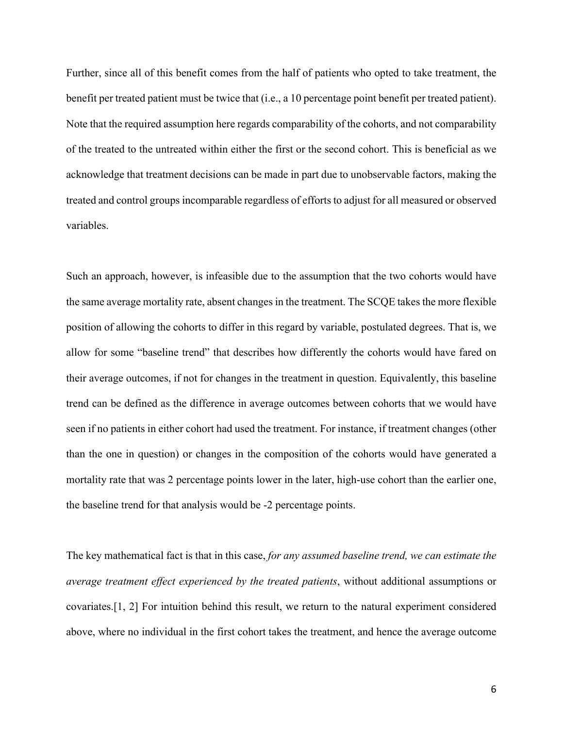Further, since all of this benefit comes from the half of patients who opted to take treatment, the benefit per treated patient must be twice that (i.e., a 10 percentage point benefit per treated patient). Note that the required assumption here regards comparability of the cohorts, and not comparability of the treated to the untreated within either the first or the second cohort. This is beneficial as we acknowledge that treatment decisions can be made in part due to unobservable factors, making the treated and control groups incomparable regardless of efforts to adjust for all measured or observed variables.

Such an approach, however, is infeasible due to the assumption that the two cohorts would have the same average mortality rate, absent changes in the treatment. The SCQE takes the more flexible position of allowing the cohorts to differ in this regard by variable, postulated degrees. That is, we allow for some "baseline trend" that describes how differently the cohorts would have fared on their average outcomes, if not for changes in the treatment in question. Equivalently, this baseline trend can be defined as the difference in average outcomes between cohorts that we would have seen if no patients in either cohort had used the treatment. For instance, if treatment changes (other than the one in question) or changes in the composition of the cohorts would have generated a mortality rate that was 2 percentage points lower in the later, high-use cohort than the earlier one, the baseline trend for that analysis would be -2 percentage points.

The key mathematical fact is that in this case, *for any assumed baseline trend, we can estimate the average treatment effect experienced by the treated patients*, without additional assumptions or covariates.[1, 2] For intuition behind this result, we return to the natural experiment considered above, where no individual in the first cohort takes the treatment, and hence the average outcome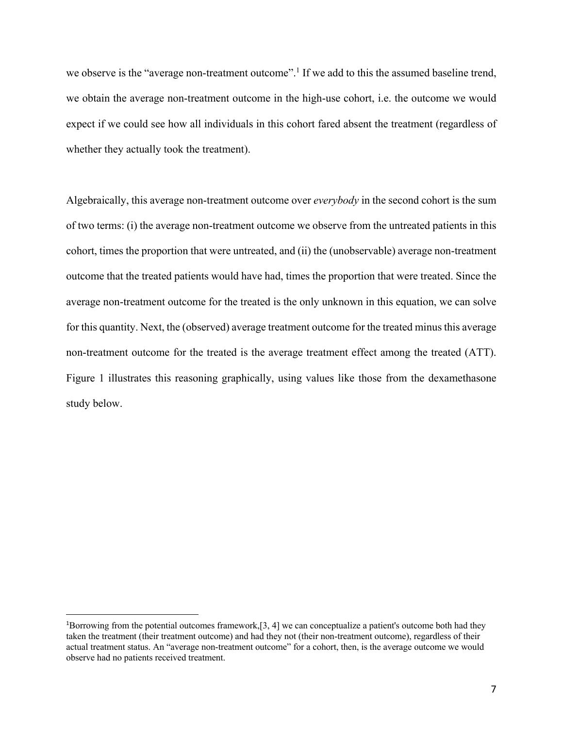we observe is the "average non-treatment outcome".<sup>1</sup> If we add to this the assumed baseline trend, we obtain the average non-treatment outcome in the high-use cohort, i.e. the outcome we would expect if we could see how all individuals in this cohort fared absent the treatment (regardless of whether they actually took the treatment).

Algebraically, this average non-treatment outcome over *everybody* in the second cohort is the sum of two terms: (i) the average non-treatment outcome we observe from the untreated patients in this cohort, times the proportion that were untreated, and (ii) the (unobservable) average non-treatment outcome that the treated patients would have had, times the proportion that were treated. Since the average non-treatment outcome for the treated is the only unknown in this equation, we can solve for this quantity. Next, the (observed) average treatment outcome for the treated minus this average non-treatment outcome for the treated is the average treatment effect among the treated (ATT). Figure 1 illustrates this reasoning graphically, using values like those from the dexamethasone study below.

<sup>&</sup>lt;sup>1</sup>Borrowing from the potential outcomes framework, [3, 4] we can conceptualize a patient's outcome both had they taken the treatment (their treatment outcome) and had they not (their non-treatment outcome), regardless of their actual treatment status. An "average non-treatment outcome" for a cohort, then, is the average outcome we would observe had no patients received treatment.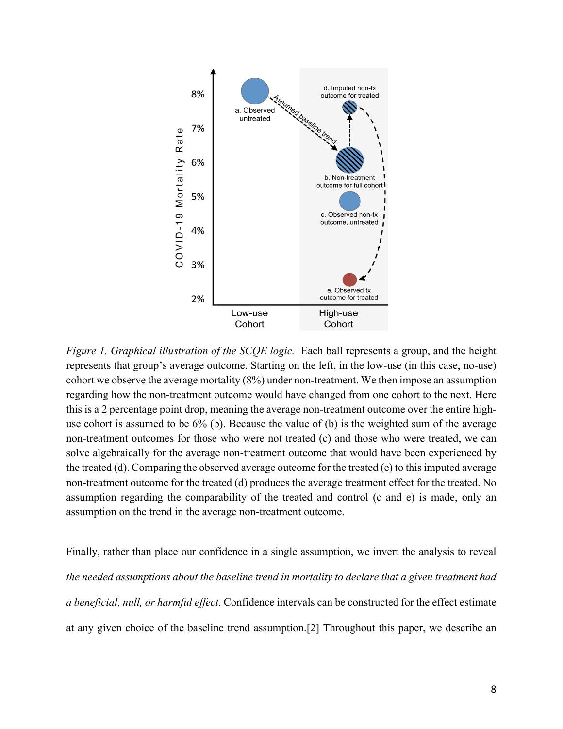

*Figure 1. Graphical illustration of the SCQE logic.* Each ball represents a group, and the height represents that group's average outcome. Starting on the left, in the low-use (in this case, no-use) cohort we observe the average mortality (8%) under non-treatment. We then impose an assumption regarding how the non-treatment outcome would have changed from one cohort to the next. Here this is a 2 percentage point drop, meaning the average non-treatment outcome over the entire highuse cohort is assumed to be 6% (b). Because the value of (b) is the weighted sum of the average non-treatment outcomes for those who were not treated (c) and those who were treated, we can solve algebraically for the average non-treatment outcome that would have been experienced by the treated (d). Comparing the observed average outcome for the treated (e) to this imputed average non-treatment outcome for the treated (d) produces the average treatment effect for the treated. No assumption regarding the comparability of the treated and control (c and e) is made, only an assumption on the trend in the average non-treatment outcome.

Finally, rather than place our confidence in a single assumption, we invert the analysis to reveal *the needed assumptions about the baseline trend in mortality to declare that a given treatment had a beneficial, null, or harmful effect*. Confidence intervals can be constructed for the effect estimate at any given choice of the baseline trend assumption.[2] Throughout this paper, we describe an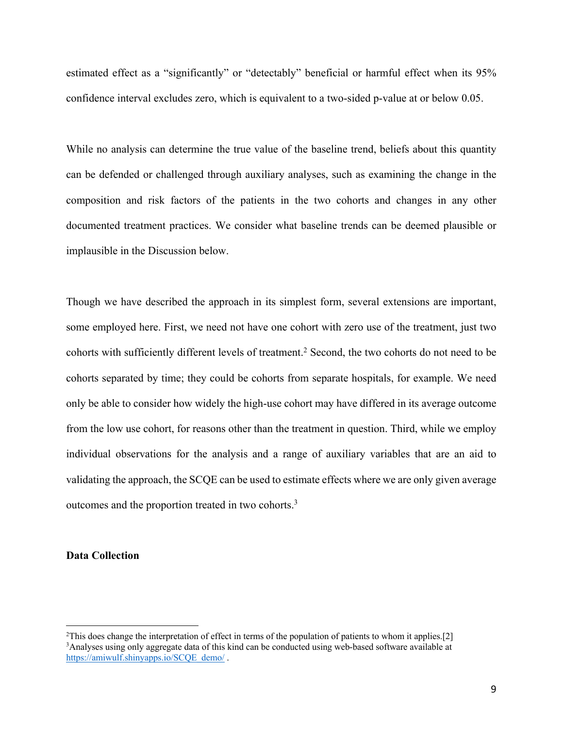estimated effect as a "significantly" or "detectably" beneficial or harmful effect when its 95% confidence interval excludes zero, which is equivalent to a two-sided p-value at or below 0.05.

While no analysis can determine the true value of the baseline trend, beliefs about this quantity can be defended or challenged through auxiliary analyses, such as examining the change in the composition and risk factors of the patients in the two cohorts and changes in any other documented treatment practices. We consider what baseline trends can be deemed plausible or implausible in the Discussion below.

Though we have described the approach in its simplest form, several extensions are important, some employed here. First, we need not have one cohort with zero use of the treatment, just two cohorts with sufficiently different levels of treatment. <sup>2</sup> Second, the two cohorts do not need to be cohorts separated by time; they could be cohorts from separate hospitals, for example. We need only be able to consider how widely the high-use cohort may have differed in its average outcome from the low use cohort, for reasons other than the treatment in question. Third, while we employ individual observations for the analysis and a range of auxiliary variables that are an aid to validating the approach, the SCQE can be used to estimate effects where we are only given average outcomes and the proportion treated in two cohorts.3

#### **Data Collection**

<sup>&</sup>lt;sup>2</sup>This does change the interpretation of effect in terms of the population of patients to whom it applies.[2] <sup>3</sup>Analyses using only aggregate data of this kind can be conducted using web-based software available at https://amiwulf.shinyapps.io/SCQE\_demo/.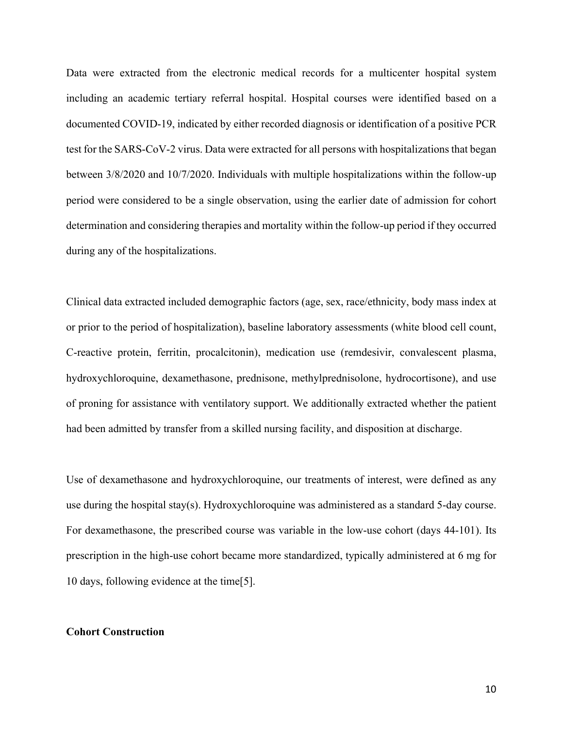Data were extracted from the electronic medical records for a multicenter hospital system including an academic tertiary referral hospital. Hospital courses were identified based on a documented COVID-19, indicated by either recorded diagnosis or identification of a positive PCR test for the SARS-CoV-2 virus. Data were extracted for all persons with hospitalizations that began between 3/8/2020 and 10/7/2020. Individuals with multiple hospitalizations within the follow-up period were considered to be a single observation, using the earlier date of admission for cohort determination and considering therapies and mortality within the follow-up period if they occurred during any of the hospitalizations.

Clinical data extracted included demographic factors (age, sex, race/ethnicity, body mass index at or prior to the period of hospitalization), baseline laboratory assessments (white blood cell count, C-reactive protein, ferritin, procalcitonin), medication use (remdesivir, convalescent plasma, hydroxychloroquine, dexamethasone, prednisone, methylprednisolone, hydrocortisone), and use of proning for assistance with ventilatory support. We additionally extracted whether the patient had been admitted by transfer from a skilled nursing facility, and disposition at discharge.

Use of dexamethasone and hydroxychloroquine, our treatments of interest, were defined as any use during the hospital stay(s). Hydroxychloroquine was administered as a standard 5-day course. For dexamethasone, the prescribed course was variable in the low-use cohort (days 44-101). Its prescription in the high-use cohort became more standardized, typically administered at 6 mg for 10 days, following evidence at the time[5].

### **Cohort Construction**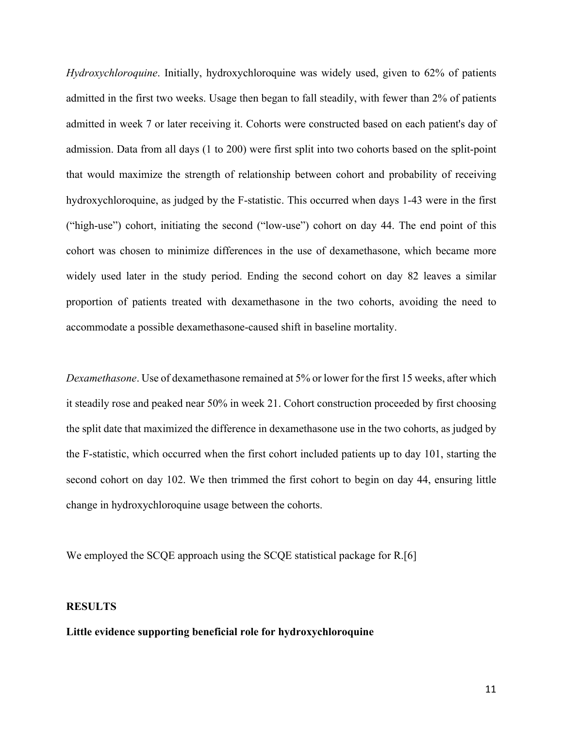*Hydroxychloroquine*. Initially, hydroxychloroquine was widely used, given to 62% of patients admitted in the first two weeks. Usage then began to fall steadily, with fewer than 2% of patients admitted in week 7 or later receiving it. Cohorts were constructed based on each patient's day of admission. Data from all days (1 to 200) were first split into two cohorts based on the split-point that would maximize the strength of relationship between cohort and probability of receiving hydroxychloroquine, as judged by the F-statistic. This occurred when days 1-43 were in the first ("high-use") cohort, initiating the second ("low-use") cohort on day 44. The end point of this cohort was chosen to minimize differences in the use of dexamethasone, which became more widely used later in the study period. Ending the second cohort on day 82 leaves a similar proportion of patients treated with dexamethasone in the two cohorts, avoiding the need to accommodate a possible dexamethasone-caused shift in baseline mortality.

*Dexamethasone*. Use of dexamethasone remained at 5% or lower for the first 15 weeks, after which it steadily rose and peaked near 50% in week 21. Cohort construction proceeded by first choosing the split date that maximized the difference in dexamethasone use in the two cohorts, as judged by the F-statistic, which occurred when the first cohort included patients up to day 101, starting the second cohort on day 102. We then trimmed the first cohort to begin on day 44, ensuring little change in hydroxychloroquine usage between the cohorts.

We employed the SCQE approach using the SCQE statistical package for R.[6]

### **RESULTS**

## **Little evidence supporting beneficial role for hydroxychloroquine**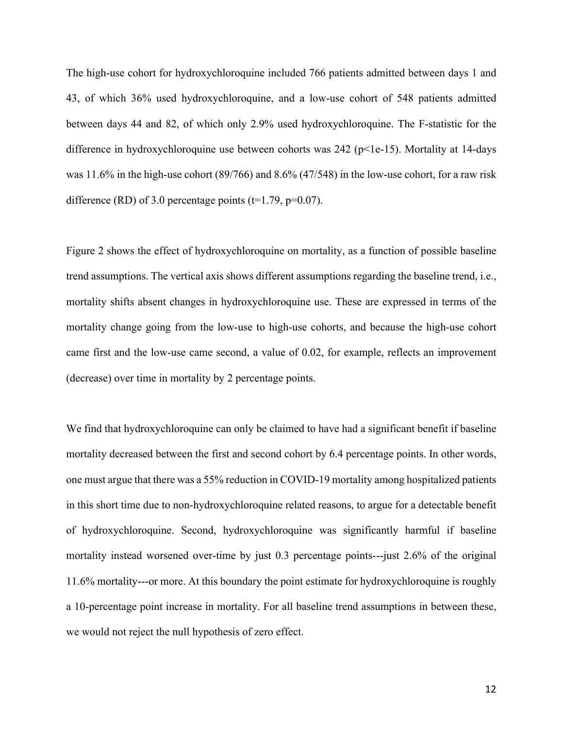The high-use cohort for hydroxychloroquine included 766 patients admitted between days 1 and 43, of which 36% used hydroxychloroquine, and a low-use cohort of 548 patients admitted between days 44 and 82, of which only 2.9% used hydroxychloroquine. The F-statistic for the difference in hydroxychloroquine use between cohorts was 242 (p<1e-15). Mortality at 14-days was 11.6% in the high-use cohort (89/766) and 8.6% (47/548) in the low-use cohort, for a raw risk difference (RD) of 3.0 percentage points ( $t=1.79$ ,  $p=0.07$ ).

Figure 2 shows the effect of hydroxychloroquine on mortality, as a function of possible baseline trend assumptions. The vertical axis shows different assumptions regarding the baseline trend, i.e., mortality shifts absent changes in hydroxychloroquine use. These are expressed in terms of the mortality change going from the low-use to high-use cohorts, and because the high-use cohort came first and the low-use came second, a value of 0.02, for example, reflects an improvement (decrease) over time in mortality by 2 percentage points.

We find that hydroxychloroquine can only be claimed to have had a significant benefit if baseline mortality decreased between the first and second cohort by 6.4 percentage points. In other words, one must argue that there was a 55% reduction in COVID-19 mortality among hospitalized patients in this short time due to non-hydroxychloroquine related reasons, to argue for a detectable benefit of hydroxychloroquine. Second, hydroxychloroquine was significantly harmful if baseline mortality instead worsened over-time by just 0.3 percentage points---just 2.6% of the original 11.6% mortality---or more. At this boundary the point estimate for hydroxychloroquine is roughly a 10-percentage point increase in mortality. For all baseline trend assumptions in between these, we would not reject the null hypothesis of zero effect.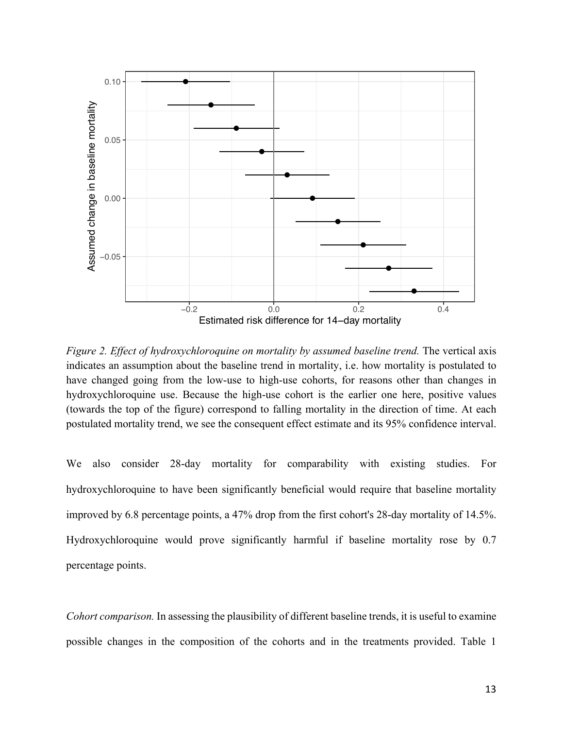

*Figure 2. Effect of hydroxychloroquine on mortality by assumed baseline trend.* The vertical axis indicates an assumption about the baseline trend in mortality, i.e. how mortality is postulated to have changed going from the low-use to high-use cohorts, for reasons other than changes in hydroxychloroquine use. Because the high-use cohort is the earlier one here, positive values (towards the top of the figure) correspond to falling mortality in the direction of time. At each postulated mortality trend, we see the consequent effect estimate and its 95% confidence interval.

We also consider 28-day mortality for comparability with existing studies. For hydroxychloroquine to have been significantly beneficial would require that baseline mortality improved by 6.8 percentage points, a 47% drop from the first cohort's 28-day mortality of 14.5%. Hydroxychloroquine would prove significantly harmful if baseline mortality rose by 0.7 percentage points.

*Cohort comparison.* In assessing the plausibility of different baseline trends, it is useful to examine possible changes in the composition of the cohorts and in the treatments provided. Table 1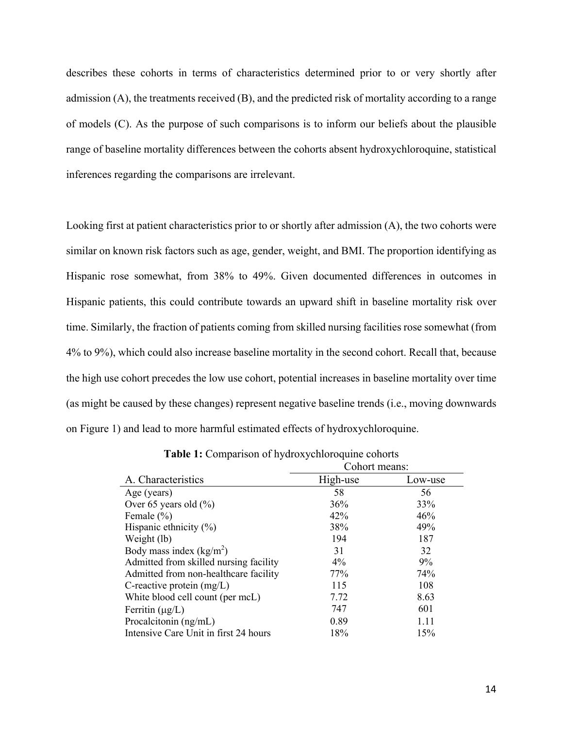describes these cohorts in terms of characteristics determined prior to or very shortly after admission (A), the treatments received (B), and the predicted risk of mortality according to a range of models (C). As the purpose of such comparisons is to inform our beliefs about the plausible range of baseline mortality differences between the cohorts absent hydroxychloroquine, statistical inferences regarding the comparisons are irrelevant.

Looking first at patient characteristics prior to or shortly after admission (A), the two cohorts were similar on known risk factors such as age, gender, weight, and BMI. The proportion identifying as Hispanic rose somewhat, from 38% to 49%. Given documented differences in outcomes in Hispanic patients, this could contribute towards an upward shift in baseline mortality risk over time. Similarly, the fraction of patients coming from skilled nursing facilities rose somewhat (from 4% to 9%), which could also increase baseline mortality in the second cohort. Recall that, because the high use cohort precedes the low use cohort, potential increases in baseline mortality over time (as might be caused by these changes) represent negative baseline trends (i.e., moving downwards on Figure 1) and lead to more harmful estimated effects of hydroxychloroquine.

|                                        | Cohort means: |         |
|----------------------------------------|---------------|---------|
| A. Characteristics                     | High-use      | Low-use |
| Age (years)                            | 58            | 56      |
| Over 65 years old $(\% )$              | 36%           | 33%     |
| Female $(\% )$                         | 42%           | 46%     |
| Hispanic ethnicity $(\%)$              | 38%           | 49%     |
| Weight (lb)                            | 194           | 187     |
| Body mass index $(kg/m2)$              | 31            | 32      |
| Admitted from skilled nursing facility | $4\%$         | 9%      |
| Admitted from non-healthcare facility  | 77%           | 74%     |
| C-reactive protein $(mg/L)$            | 115           | 108     |
| White blood cell count (per mcL)       | 7.72          | 8.63    |
| Ferritin $(\mu g/L)$                   | 747           | 601     |
| Procalcitonin (ng/mL)                  | 0.89          | 1.11    |
| Intensive Care Unit in first 24 hours  | 18%           | 15%     |

**Table 1:** Comparison of hydroxychloroquine cohorts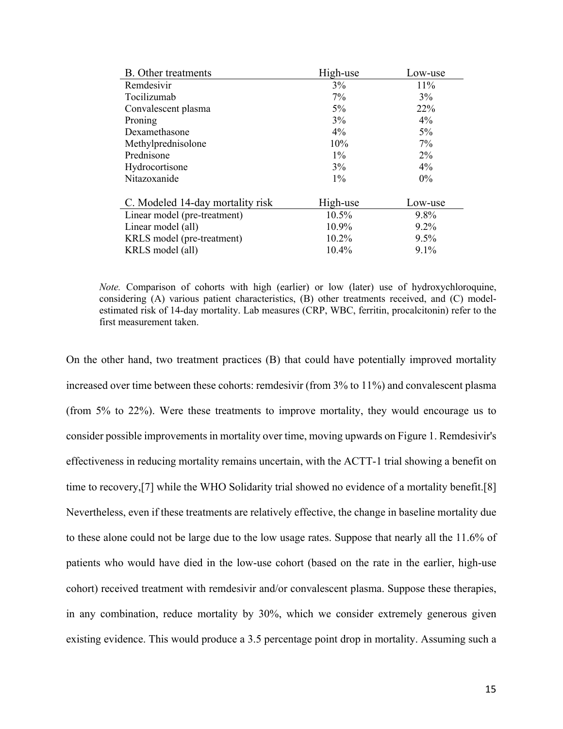| <b>B.</b> Other treatments       | High-use | Low-use |
|----------------------------------|----------|---------|
| Remdesivir                       | 3%       | 11%     |
| Tocilizumab                      | $7\%$    | 3%      |
| Convalescent plasma              | $5\%$    | 22%     |
| Proning                          | 3%       | 4%      |
| Dexamethasone                    | 4%       | $5\%$   |
| Methylprednisolone               | 10%      | 7%      |
| Prednisone                       | $1\%$    | $2\%$   |
| Hydrocortisone                   | 3%       | 4%      |
| Nitazoxanide                     | $1\%$    | $0\%$   |
|                                  |          |         |
| C. Modeled 14-day mortality risk | High-use | Low-use |
| Linear model (pre-treatment)     | 10.5%    | 9.8%    |
| Linear model (all)               | 10.9%    | $9.2\%$ |
| KRLS model (pre-treatment)       | 10.2%    | 9.5%    |
| KRLS model (all)                 | 10.4%    | 9.1%    |

*Note.* Comparison of cohorts with high (earlier) or low (later) use of hydroxychloroquine, considering (A) various patient characteristics, (B) other treatments received, and (C) modelestimated risk of 14-day mortality. Lab measures (CRP, WBC, ferritin, procalcitonin) refer to the first measurement taken.

On the other hand, two treatment practices (B) that could have potentially improved mortality increased over time between these cohorts: remdesivir (from 3% to 11%) and convalescent plasma (from 5% to 22%). Were these treatments to improve mortality, they would encourage us to consider possible improvements in mortality over time, moving upwards on Figure 1. Remdesivir's effectiveness in reducing mortality remains uncertain, with the ACTT-1 trial showing a benefit on time to recovery,[7] while the WHO Solidarity trial showed no evidence of a mortality benefit.[8] Nevertheless, even if these treatments are relatively effective, the change in baseline mortality due to these alone could not be large due to the low usage rates. Suppose that nearly all the 11.6% of patients who would have died in the low-use cohort (based on the rate in the earlier, high-use cohort) received treatment with remdesivir and/or convalescent plasma. Suppose these therapies, in any combination, reduce mortality by 30%, which we consider extremely generous given existing evidence. This would produce a 3.5 percentage point drop in mortality. Assuming such a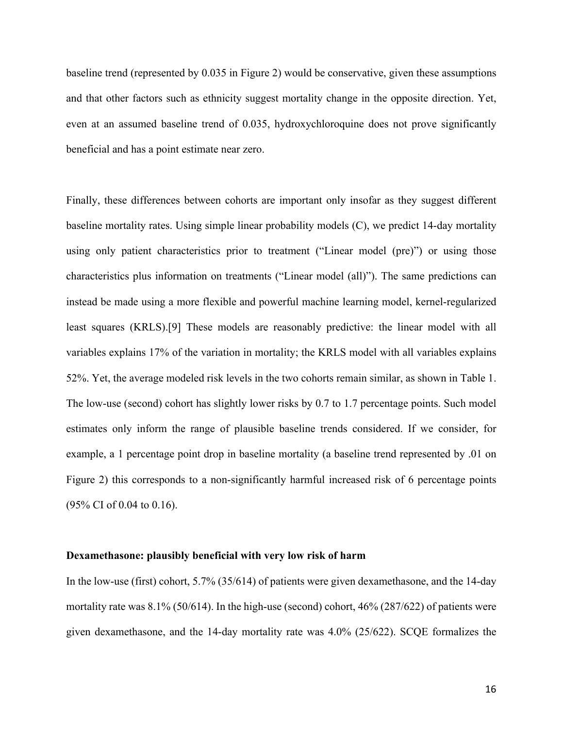baseline trend (represented by 0.035 in Figure 2) would be conservative, given these assumptions and that other factors such as ethnicity suggest mortality change in the opposite direction. Yet, even at an assumed baseline trend of 0.035, hydroxychloroquine does not prove significantly beneficial and has a point estimate near zero.

Finally, these differences between cohorts are important only insofar as they suggest different baseline mortality rates. Using simple linear probability models (C), we predict 14-day mortality using only patient characteristics prior to treatment ("Linear model (pre)") or using those characteristics plus information on treatments ("Linear model (all)"). The same predictions can instead be made using a more flexible and powerful machine learning model, kernel-regularized least squares (KRLS).[9] These models are reasonably predictive: the linear model with all variables explains 17% of the variation in mortality; the KRLS model with all variables explains 52%. Yet, the average modeled risk levels in the two cohorts remain similar, as shown in Table 1. The low-use (second) cohort has slightly lower risks by 0.7 to 1.7 percentage points. Such model estimates only inform the range of plausible baseline trends considered. If we consider, for example, a 1 percentage point drop in baseline mortality (a baseline trend represented by .01 on Figure 2) this corresponds to a non-significantly harmful increased risk of 6 percentage points (95% CI of 0.04 to 0.16).

#### **Dexamethasone: plausibly beneficial with very low risk of harm**

In the low-use (first) cohort, 5.7% (35/614) of patients were given dexamethasone, and the 14-day mortality rate was 8.1% (50/614). In the high-use (second) cohort, 46% (287/622) of patients were given dexamethasone, and the 14-day mortality rate was 4.0% (25/622). SCQE formalizes the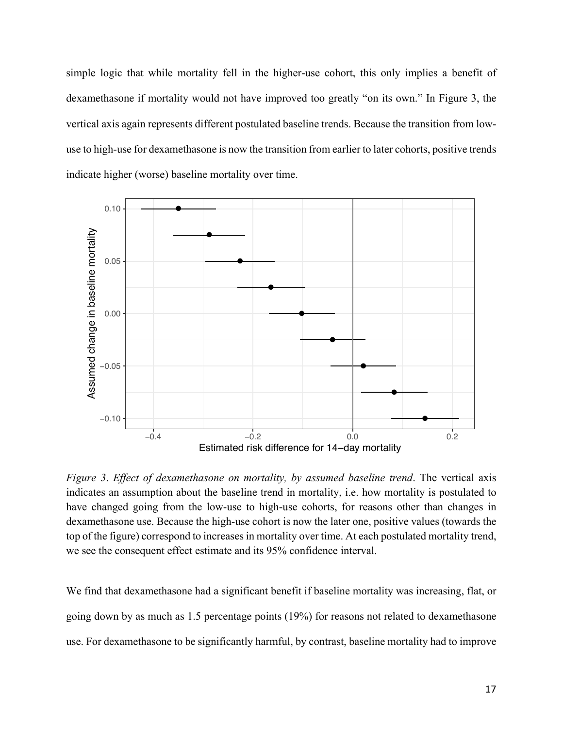simple logic that while mortality fell in the higher-use cohort, this only implies a benefit of dexamethasone if mortality would not have improved too greatly "on its own." In Figure 3, the vertical axis again represents different postulated baseline trends. Because the transition from lowuse to high-use for dexamethasone is now the transition from earlier to later cohorts, positive trends indicate higher (worse) baseline mortality over time.



*Figure 3*. *Effect of dexamethasone on mortality, by assumed baseline trend*. The vertical axis indicates an assumption about the baseline trend in mortality, i.e. how mortality is postulated to have changed going from the low-use to high-use cohorts, for reasons other than changes in dexamethasone use. Because the high-use cohort is now the later one, positive values (towards the top of the figure) correspond to increases in mortality over time. At each postulated mortality trend, we see the consequent effect estimate and its 95% confidence interval.

We find that dexamethasone had a significant benefit if baseline mortality was increasing, flat, or going down by as much as 1.5 percentage points (19%) for reasons not related to dexamethasone use. For dexamethasone to be significantly harmful, by contrast, baseline mortality had to improve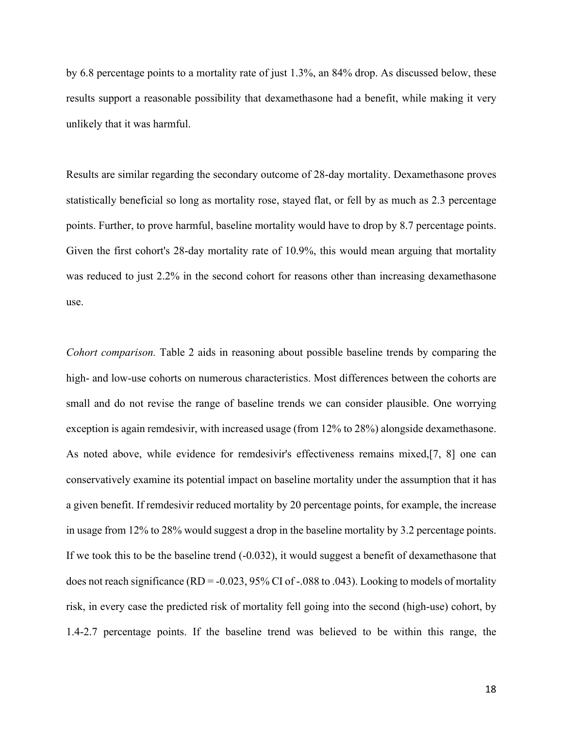by 6.8 percentage points to a mortality rate of just 1.3%, an 84% drop. As discussed below, these results support a reasonable possibility that dexamethasone had a benefit, while making it very unlikely that it was harmful.

Results are similar regarding the secondary outcome of 28-day mortality. Dexamethasone proves statistically beneficial so long as mortality rose, stayed flat, or fell by as much as 2.3 percentage points. Further, to prove harmful, baseline mortality would have to drop by 8.7 percentage points. Given the first cohort's 28-day mortality rate of 10.9%, this would mean arguing that mortality was reduced to just 2.2% in the second cohort for reasons other than increasing dexamethasone use.

*Cohort comparison.* Table 2 aids in reasoning about possible baseline trends by comparing the high- and low-use cohorts on numerous characteristics. Most differences between the cohorts are small and do not revise the range of baseline trends we can consider plausible. One worrying exception is again remdesivir, with increased usage (from 12% to 28%) alongside dexamethasone. As noted above, while evidence for remdesivir's effectiveness remains mixed,[7, 8] one can conservatively examine its potential impact on baseline mortality under the assumption that it has a given benefit. If remdesivir reduced mortality by 20 percentage points, for example, the increase in usage from 12% to 28% would suggest a drop in the baseline mortality by 3.2 percentage points. If we took this to be the baseline trend  $(-0.032)$ , it would suggest a benefit of dexamethasone that does not reach significance ( $RD = -0.023$ , 95% CI of -.088 to .043). Looking to models of mortality risk, in every case the predicted risk of mortality fell going into the second (high-use) cohort, by 1.4-2.7 percentage points. If the baseline trend was believed to be within this range, the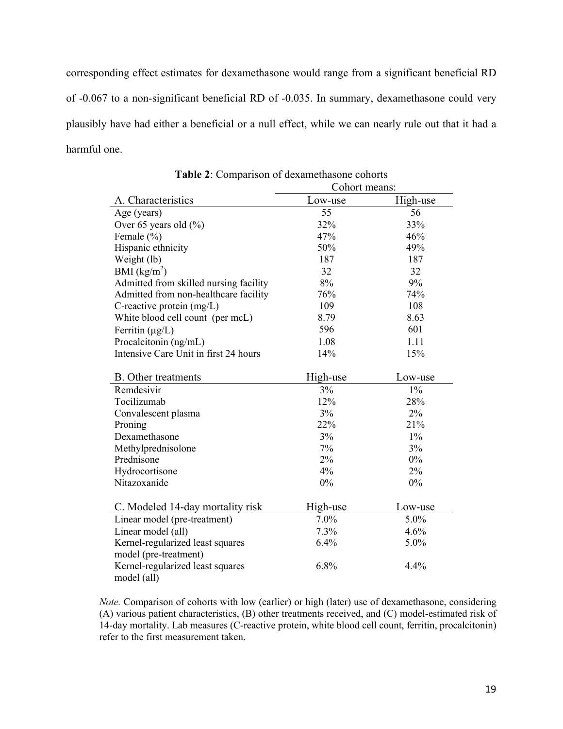corresponding effect estimates for dexamethasone would range from a significant beneficial RD of -0.067 to a non-significant beneficial RD of -0.035. In summary, dexamethasone could very plausibly have had either a beneficial or a null effect, while we can nearly rule out that it had a harmful one.

|                                        | Cohort means: |          |
|----------------------------------------|---------------|----------|
| A. Characteristics                     | Low-use       | High-use |
| Age (years)                            | 55            | 56       |
| Over 65 years old (%)                  | 32%           | 33%      |
| Female (%)                             | 47%           | 46%      |
| Hispanic ethnicity                     | 50%           | 49%      |
| Weight (lb)                            | 187           | 187      |
| BMI $(kg/m^2)$                         | 32            | 32       |
| Admitted from skilled nursing facility | 8%            | 9%       |
| Admitted from non-healthcare facility  | 76%           | 74%      |
| C-reactive protein $(mg/L)$            | 109           | 108      |
| White blood cell count (per mcL)       | 8.79          | 8.63     |
| Ferritin $(\mu g/L)$                   | 596           | 601      |
| Procalcitonin (ng/mL)                  | 1.08          | 1.11     |
| Intensive Care Unit in first 24 hours  | 14%           | 15%      |
| <b>B.</b> Other treatments             | High-use      | Low-use  |
| Remdesivir                             | 3%            | $1\%$    |
| Tocilizumab                            | 12%           | 28%      |
| Convalescent plasma                    | 3%            | 2%       |
| Proning                                | 22%           | 21%      |
| Dexamethasone                          | 3%            | $1\%$    |
| Methylprednisolone                     | 7%            | 3%       |
| Prednisone                             | 2%            | $0\%$    |
| Hydrocortisone                         | 4%            | 2%       |
| Nitazoxanide                           | 0%            | 0%       |
| C. Modeled 14-day mortality risk       | High-use      | Low-use  |
| Linear model (pre-treatment)           | 7.0%          | 5.0%     |
| Linear model (all)                     | 7.3%          | 4.6%     |
| Kernel-regularized least squares       | 6.4%          | 5.0%     |
| model (pre-treatment)                  |               |          |
| Kernel-regularized least squares       | 6.8%          | 4.4%     |
| model (all)                            |               |          |

**Table 2**: Comparison of dexamethasone cohorts

*Note.* Comparison of cohorts with low (earlier) or high (later) use of dexamethasone, considering (A) various patient characteristics, (B) other treatments received, and (C) model-estimated risk of 14-day mortality. Lab measures (C-reactive protein, white blood cell count, ferritin, procalcitonin) refer to the first measurement taken.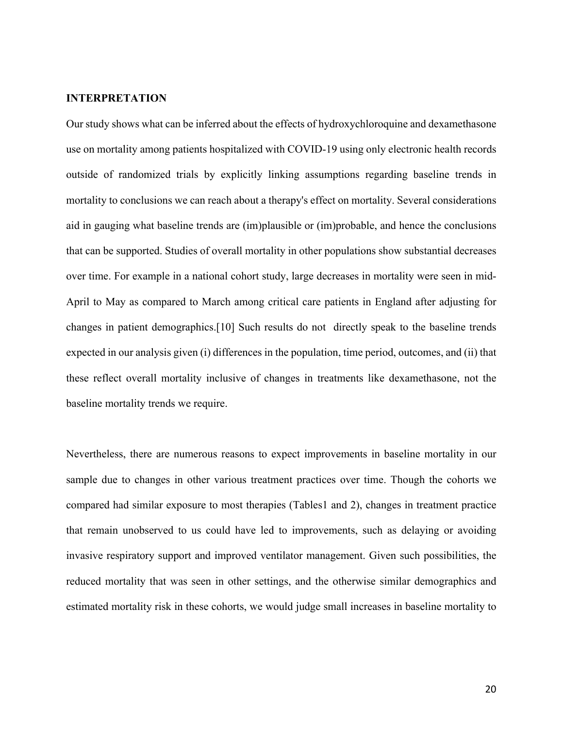## **INTERPRETATION**

Our study shows what can be inferred about the effects of hydroxychloroquine and dexamethasone use on mortality among patients hospitalized with COVID-19 using only electronic health records outside of randomized trials by explicitly linking assumptions regarding baseline trends in mortality to conclusions we can reach about a therapy's effect on mortality. Several considerations aid in gauging what baseline trends are (im)plausible or (im)probable, and hence the conclusions that can be supported. Studies of overall mortality in other populations show substantial decreases over time. For example in a national cohort study, large decreases in mortality were seen in mid-April to May as compared to March among critical care patients in England after adjusting for changes in patient demographics.[10] Such results do not directly speak to the baseline trends expected in our analysis given (i) differences in the population, time period, outcomes, and (ii) that these reflect overall mortality inclusive of changes in treatments like dexamethasone, not the baseline mortality trends we require.

Nevertheless, there are numerous reasons to expect improvements in baseline mortality in our sample due to changes in other various treatment practices over time. Though the cohorts we compared had similar exposure to most therapies (Tables1 and 2), changes in treatment practice that remain unobserved to us could have led to improvements, such as delaying or avoiding invasive respiratory support and improved ventilator management. Given such possibilities, the reduced mortality that was seen in other settings, and the otherwise similar demographics and estimated mortality risk in these cohorts, we would judge small increases in baseline mortality to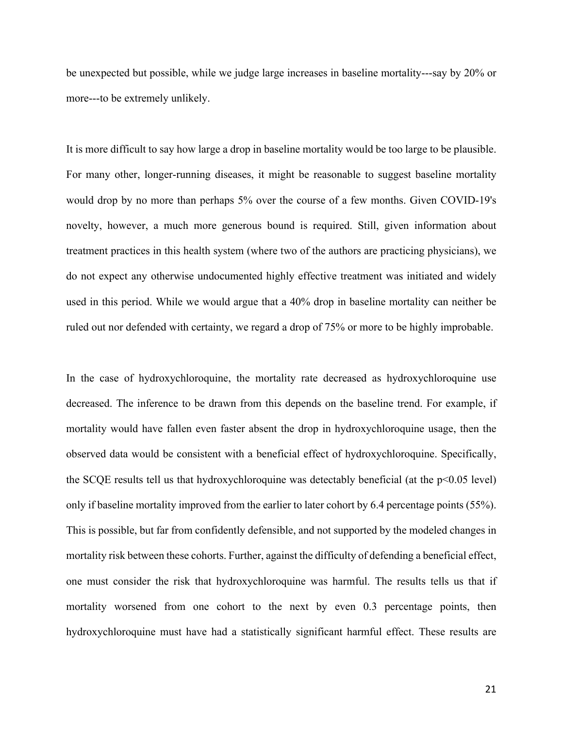be unexpected but possible, while we judge large increases in baseline mortality---say by 20% or more---to be extremely unlikely.

It is more difficult to say how large a drop in baseline mortality would be too large to be plausible. For many other, longer-running diseases, it might be reasonable to suggest baseline mortality would drop by no more than perhaps 5% over the course of a few months. Given COVID-19's novelty, however, a much more generous bound is required. Still, given information about treatment practices in this health system (where two of the authors are practicing physicians), we do not expect any otherwise undocumented highly effective treatment was initiated and widely used in this period. While we would argue that a 40% drop in baseline mortality can neither be ruled out nor defended with certainty, we regard a drop of 75% or more to be highly improbable.

In the case of hydroxychloroquine, the mortality rate decreased as hydroxychloroquine use decreased. The inference to be drawn from this depends on the baseline trend. For example, if mortality would have fallen even faster absent the drop in hydroxychloroquine usage, then the observed data would be consistent with a beneficial effect of hydroxychloroquine. Specifically, the SCQE results tell us that hydroxychloroquine was detectably beneficial (at the p<0.05 level) only if baseline mortality improved from the earlier to later cohort by 6.4 percentage points (55%). This is possible, but far from confidently defensible, and not supported by the modeled changes in mortality risk between these cohorts. Further, against the difficulty of defending a beneficial effect, one must consider the risk that hydroxychloroquine was harmful. The results tells us that if mortality worsened from one cohort to the next by even 0.3 percentage points, then hydroxychloroquine must have had a statistically significant harmful effect. These results are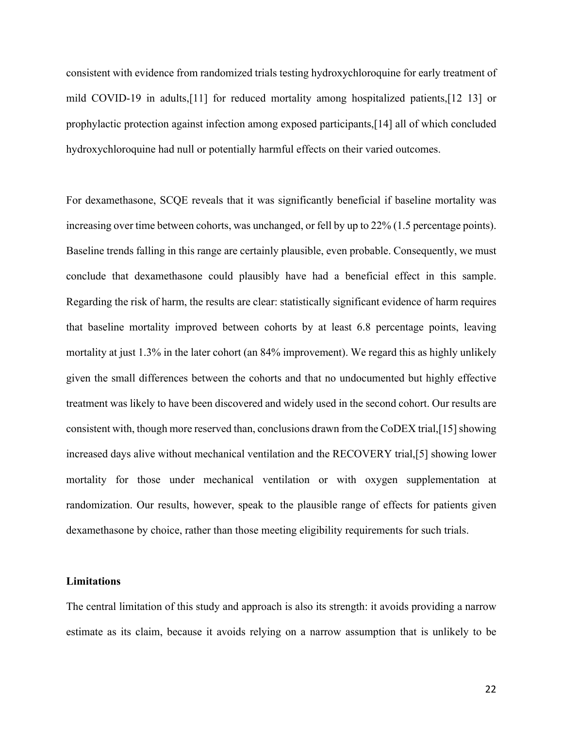consistent with evidence from randomized trials testing hydroxychloroquine for early treatment of mild COVID-19 in adults,[11] for reduced mortality among hospitalized patients,[12 13] or prophylactic protection against infection among exposed participants,[14] all of which concluded hydroxychloroquine had null or potentially harmful effects on their varied outcomes.

For dexamethasone, SCQE reveals that it was significantly beneficial if baseline mortality was increasing over time between cohorts, was unchanged, or fell by up to 22% (1.5 percentage points). Baseline trends falling in this range are certainly plausible, even probable. Consequently, we must conclude that dexamethasone could plausibly have had a beneficial effect in this sample. Regarding the risk of harm, the results are clear: statistically significant evidence of harm requires that baseline mortality improved between cohorts by at least 6.8 percentage points, leaving mortality at just 1.3% in the later cohort (an 84% improvement). We regard this as highly unlikely given the small differences between the cohorts and that no undocumented but highly effective treatment was likely to have been discovered and widely used in the second cohort. Our results are consistent with, though more reserved than, conclusions drawn from the CoDEX trial,[15] showing increased days alive without mechanical ventilation and the RECOVERY trial,[5] showing lower mortality for those under mechanical ventilation or with oxygen supplementation at randomization. Our results, however, speak to the plausible range of effects for patients given dexamethasone by choice, rather than those meeting eligibility requirements for such trials.

#### **Limitations**

The central limitation of this study and approach is also its strength: it avoids providing a narrow estimate as its claim, because it avoids relying on a narrow assumption that is unlikely to be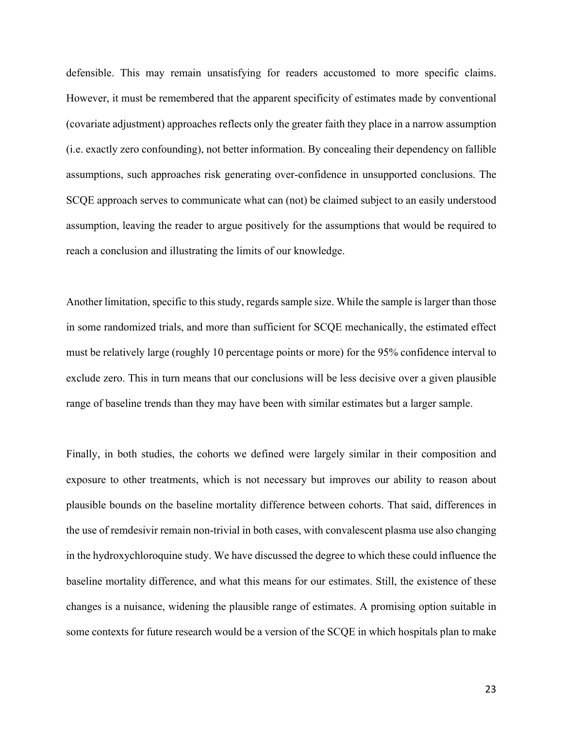defensible. This may remain unsatisfying for readers accustomed to more specific claims. However, it must be remembered that the apparent specificity of estimates made by conventional (covariate adjustment) approaches reflects only the greater faith they place in a narrow assumption (i.e. exactly zero confounding), not better information. By concealing their dependency on fallible assumptions, such approaches risk generating over-confidence in unsupported conclusions. The SCQE approach serves to communicate what can (not) be claimed subject to an easily understood assumption, leaving the reader to argue positively for the assumptions that would be required to reach a conclusion and illustrating the limits of our knowledge.

Another limitation, specific to this study, regards sample size. While the sample is larger than those in some randomized trials, and more than sufficient for SCQE mechanically, the estimated effect must be relatively large (roughly 10 percentage points or more) for the 95% confidence interval to exclude zero. This in turn means that our conclusions will be less decisive over a given plausible range of baseline trends than they may have been with similar estimates but a larger sample.

Finally, in both studies, the cohorts we defined were largely similar in their composition and exposure to other treatments, which is not necessary but improves our ability to reason about plausible bounds on the baseline mortality difference between cohorts. That said, differences in the use of remdesivir remain non-trivial in both cases, with convalescent plasma use also changing in the hydroxychloroquine study. We have discussed the degree to which these could influence the baseline mortality difference, and what this means for our estimates. Still, the existence of these changes is a nuisance, widening the plausible range of estimates. A promising option suitable in some contexts for future research would be a version of the SCQE in which hospitals plan to make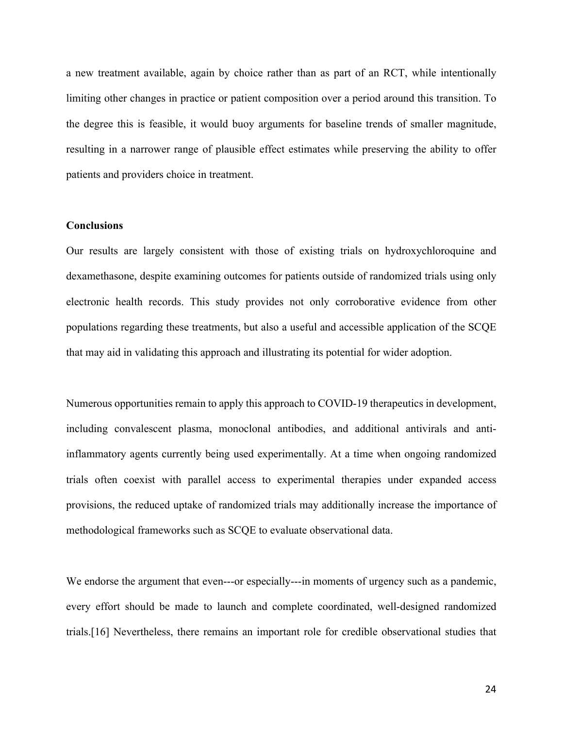a new treatment available, again by choice rather than as part of an RCT, while intentionally limiting other changes in practice or patient composition over a period around this transition. To the degree this is feasible, it would buoy arguments for baseline trends of smaller magnitude, resulting in a narrower range of plausible effect estimates while preserving the ability to offer patients and providers choice in treatment.

#### **Conclusions**

Our results are largely consistent with those of existing trials on hydroxychloroquine and dexamethasone, despite examining outcomes for patients outside of randomized trials using only electronic health records. This study provides not only corroborative evidence from other populations regarding these treatments, but also a useful and accessible application of the SCQE that may aid in validating this approach and illustrating its potential for wider adoption.

Numerous opportunities remain to apply this approach to COVID-19 therapeutics in development, including convalescent plasma, monoclonal antibodies, and additional antivirals and antiinflammatory agents currently being used experimentally. At a time when ongoing randomized trials often coexist with parallel access to experimental therapies under expanded access provisions, the reduced uptake of randomized trials may additionally increase the importance of methodological frameworks such as SCQE to evaluate observational data.

We endorse the argument that even---or especially---in moments of urgency such as a pandemic, every effort should be made to launch and complete coordinated, well-designed randomized trials.[16] Nevertheless, there remains an important role for credible observational studies that

24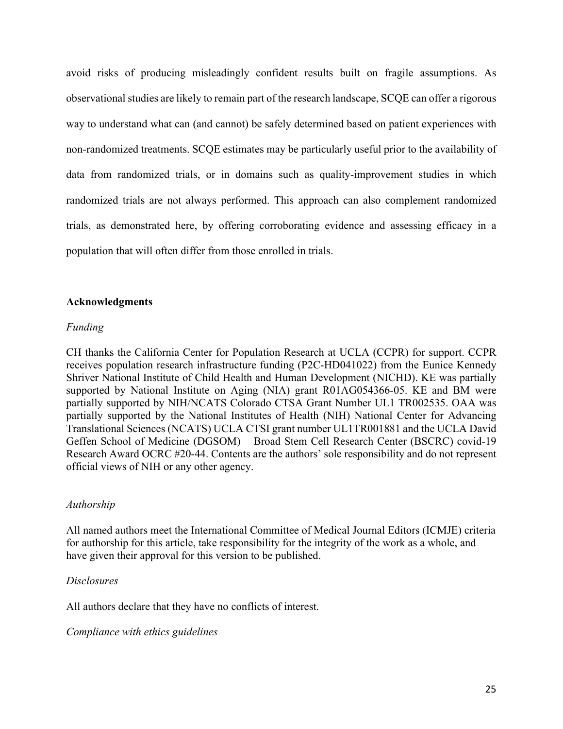avoid risks of producing misleadingly confident results built on fragile assumptions. As observational studies are likely to remain part of the research landscape, SCQE can offer a rigorous way to understand what can (and cannot) be safely determined based on patient experiences with non-randomized treatments. SCQE estimates may be particularly useful prior to the availability of data from randomized trials, or in domains such as quality-improvement studies in which randomized trials are not always performed. This approach can also complement randomized trials, as demonstrated here, by offering corroborating evidence and assessing efficacy in a population that will often differ from those enrolled in trials.

## **Acknowledgments**

## *Funding*

CH thanks the California Center for Population Research at UCLA (CCPR) for support. CCPR receives population research infrastructure funding (P2C-HD041022) from the Eunice Kennedy Shriver National Institute of Child Health and Human Development (NICHD). KE was partially supported by National Institute on Aging (NIA) grant R01AG054366-05. KE and BM were partially supported by NIH/NCATS Colorado CTSA Grant Number UL1 TR002535. OAA was partially supported by the National Institutes of Health (NIH) National Center for Advancing Translational Sciences (NCATS) UCLA CTSI grant number UL1TR001881 and the UCLA David Geffen School of Medicine (DGSOM) – Broad Stem Cell Research Center (BSCRC) covid-19 Research Award OCRC #20-44. Contents are the authors' sole responsibility and do not represent official views of NIH or any other agency.

## *Authorship*

All named authors meet the International Committee of Medical Journal Editors (ICMJE) criteria for authorship for this article, take responsibility for the integrity of the work as a whole, and have given their approval for this version to be published.

### *Disclosures*

All authors declare that they have no conflicts of interest.

*Compliance with ethics guidelines*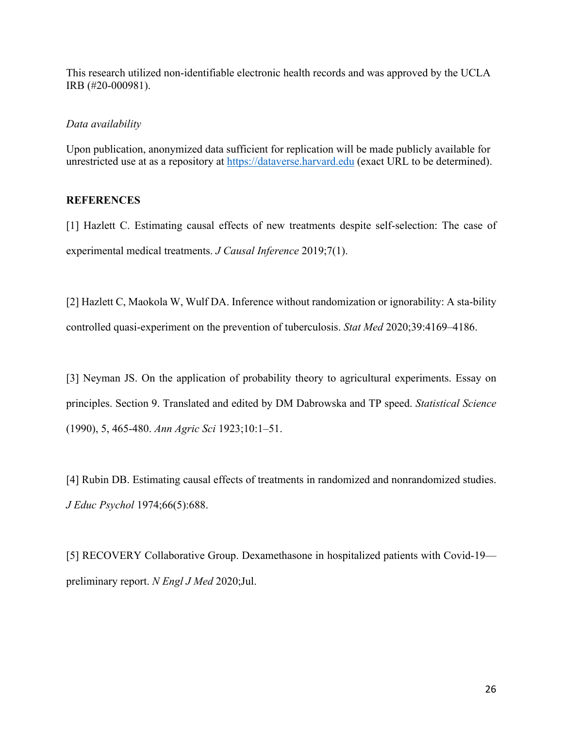This research utilized non-identifiable electronic health records and was approved by the UCLA IRB (#20-000981).

## *Data availability*

Upon publication, anonymized data sufficient for replication will be made publicly available for unrestricted use at as a repository at https://dataverse.harvard.edu (exact URL to be determined).

## **REFERENCES**

[1] Hazlett C. Estimating causal effects of new treatments despite self-selection: The case of experimental medical treatments. *J Causal Inference* 2019;7(1).

[2] Hazlett C, Maokola W, Wulf DA. Inference without randomization or ignorability: A sta-bility controlled quasi-experiment on the prevention of tuberculosis. *Stat Med* 2020;39:4169–4186.

[3] Neyman JS. On the application of probability theory to agricultural experiments. Essay on principles. Section 9. Translated and edited by DM Dabrowska and TP speed. *Statistical Science* (1990), 5, 465-480. *Ann Agric Sci* 1923;10:1–51.

[4] Rubin DB. Estimating causal effects of treatments in randomized and nonrandomized studies. *J Educ Psychol* 1974;66(5):688.

[5] RECOVERY Collaborative Group. Dexamethasone in hospitalized patients with Covid-19 preliminary report. *N Engl J Med* 2020;Jul.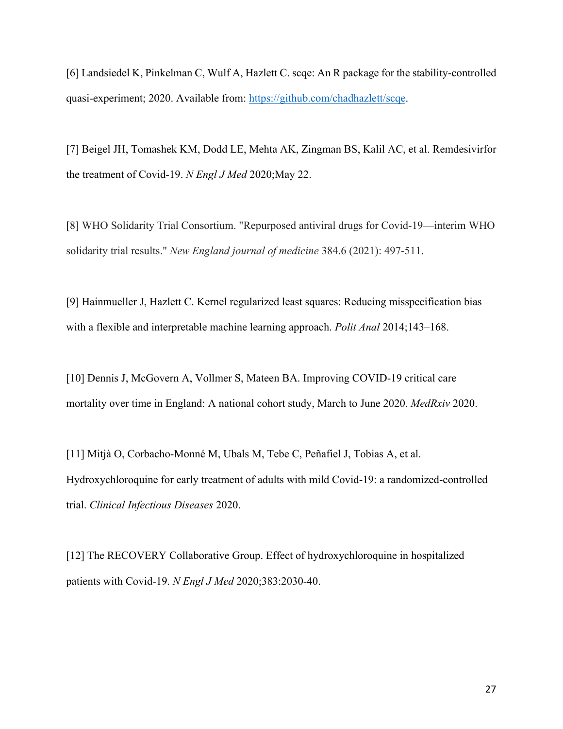[6] Landsiedel K, Pinkelman C, Wulf A, Hazlett C. scqe: An R package for the stability-controlled quasi-experiment; 2020. Available from: https://github.com/chadhazlett/scqe.

[7] Beigel JH, Tomashek KM, Dodd LE, Mehta AK, Zingman BS, Kalil AC, et al. Remdesivirfor the treatment of Covid-19. *N Engl J Med* 2020;May 22.

[8] WHO Solidarity Trial Consortium. "Repurposed antiviral drugs for Covid-19—interim WHO solidarity trial results." *New England journal of medicine* 384.6 (2021): 497-511.

[9] Hainmueller J, Hazlett C. Kernel regularized least squares: Reducing misspecification bias with a flexible and interpretable machine learning approach. *Polit Anal* 2014;143–168.

[10] Dennis J, McGovern A, Vollmer S, Mateen BA. Improving COVID-19 critical care mortality over time in England: A national cohort study, March to June 2020. *MedRxiv* 2020.

[11] Mitjà O, Corbacho-Monné M, Ubals M, Tebe C, Peñafiel J, Tobias A, et al. Hydroxychloroquine for early treatment of adults with mild Covid-19: a randomized-controlled trial. *Clinical Infectious Diseases* 2020.

[12] The RECOVERY Collaborative Group. Effect of hydroxychloroquine in hospitalized patients with Covid-19. *N Engl J Med* 2020;383:2030-40.